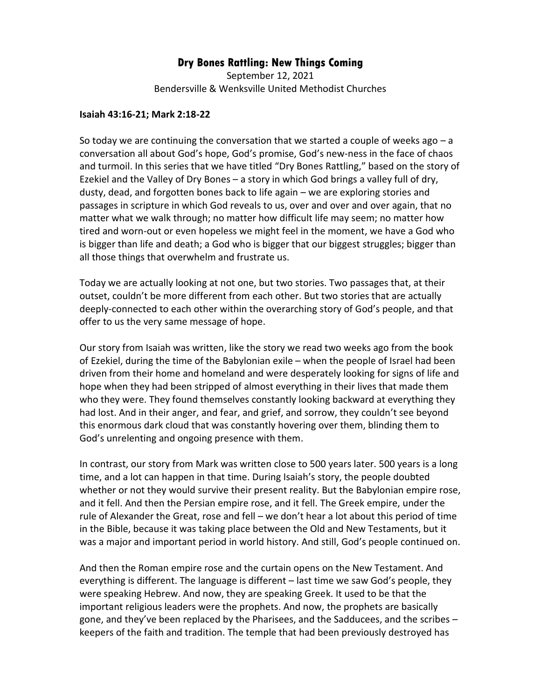## **Dry Bones Rattling: New Things Coming**

September 12, 2021 Bendersville & Wenksville United Methodist Churches

## **Isaiah 43:16-21; Mark 2:18-22**

So today we are continuing the conversation that we started a couple of weeks ago  $-a$ conversation all about God's hope, God's promise, God's new-ness in the face of chaos and turmoil. In this series that we have titled "Dry Bones Rattling," based on the story of Ezekiel and the Valley of Dry Bones – a story in which God brings a valley full of dry, dusty, dead, and forgotten bones back to life again – we are exploring stories and passages in scripture in which God reveals to us, over and over and over again, that no matter what we walk through; no matter how difficult life may seem; no matter how tired and worn-out or even hopeless we might feel in the moment, we have a God who is bigger than life and death; a God who is bigger that our biggest struggles; bigger than all those things that overwhelm and frustrate us.

Today we are actually looking at not one, but two stories. Two passages that, at their outset, couldn't be more different from each other. But two stories that are actually deeply-connected to each other within the overarching story of God's people, and that offer to us the very same message of hope.

Our story from Isaiah was written, like the story we read two weeks ago from the book of Ezekiel, during the time of the Babylonian exile – when the people of Israel had been driven from their home and homeland and were desperately looking for signs of life and hope when they had been stripped of almost everything in their lives that made them who they were. They found themselves constantly looking backward at everything they had lost. And in their anger, and fear, and grief, and sorrow, they couldn't see beyond this enormous dark cloud that was constantly hovering over them, blinding them to God's unrelenting and ongoing presence with them.

In contrast, our story from Mark was written close to 500 years later. 500 years is a long time, and a lot can happen in that time. During Isaiah's story, the people doubted whether or not they would survive their present reality. But the Babylonian empire rose, and it fell. And then the Persian empire rose, and it fell. The Greek empire, under the rule of Alexander the Great, rose and fell – we don't hear a lot about this period of time in the Bible, because it was taking place between the Old and New Testaments, but it was a major and important period in world history. And still, God's people continued on.

And then the Roman empire rose and the curtain opens on the New Testament. And everything is different. The language is different – last time we saw God's people, they were speaking Hebrew. And now, they are speaking Greek. It used to be that the important religious leaders were the prophets. And now, the prophets are basically gone, and they've been replaced by the Pharisees, and the Sadducees, and the scribes – keepers of the faith and tradition. The temple that had been previously destroyed has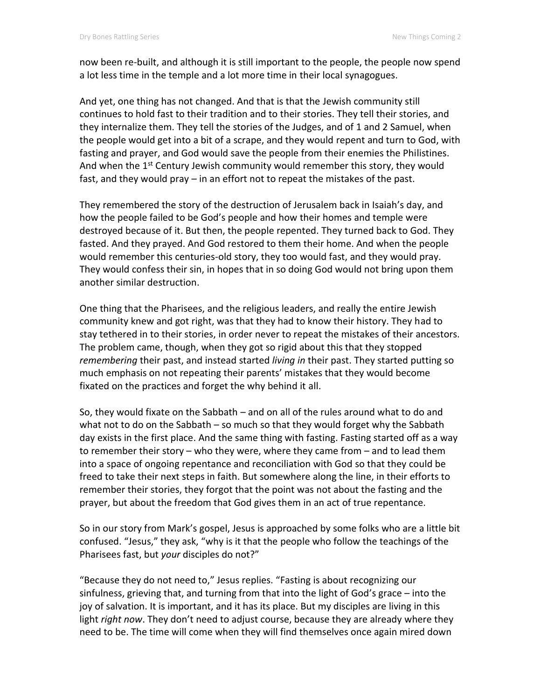now been re-built, and although it is still important to the people, the people now spend a lot less time in the temple and a lot more time in their local synagogues.

And yet, one thing has not changed. And that is that the Jewish community still continues to hold fast to their tradition and to their stories. They tell their stories, and they internalize them. They tell the stories of the Judges, and of 1 and 2 Samuel, when the people would get into a bit of a scrape, and they would repent and turn to God, with fasting and prayer, and God would save the people from their enemies the Philistines. And when the 1<sup>st</sup> Century Jewish community would remember this story, they would fast, and they would pray – in an effort not to repeat the mistakes of the past.

They remembered the story of the destruction of Jerusalem back in Isaiah's day, and how the people failed to be God's people and how their homes and temple were destroyed because of it. But then, the people repented. They turned back to God. They fasted. And they prayed. And God restored to them their home. And when the people would remember this centuries-old story, they too would fast, and they would pray. They would confess their sin, in hopes that in so doing God would not bring upon them another similar destruction.

One thing that the Pharisees, and the religious leaders, and really the entire Jewish community knew and got right, was that they had to know their history. They had to stay tethered in to their stories, in order never to repeat the mistakes of their ancestors. The problem came, though, when they got so rigid about this that they stopped *remembering* their past, and instead started *living in* their past. They started putting so much emphasis on not repeating their parents' mistakes that they would become fixated on the practices and forget the why behind it all.

So, they would fixate on the Sabbath – and on all of the rules around what to do and what not to do on the Sabbath – so much so that they would forget why the Sabbath day exists in the first place. And the same thing with fasting. Fasting started off as a way to remember their story – who they were, where they came from – and to lead them into a space of ongoing repentance and reconciliation with God so that they could be freed to take their next steps in faith. But somewhere along the line, in their efforts to remember their stories, they forgot that the point was not about the fasting and the prayer, but about the freedom that God gives them in an act of true repentance.

So in our story from Mark's gospel, Jesus is approached by some folks who are a little bit confused. "Jesus," they ask, "why is it that the people who follow the teachings of the Pharisees fast, but *your* disciples do not?"

"Because they do not need to," Jesus replies. "Fasting is about recognizing our sinfulness, grieving that, and turning from that into the light of God's grace – into the joy of salvation. It is important, and it has its place. But my disciples are living in this light *right now*. They don't need to adjust course, because they are already where they need to be. The time will come when they will find themselves once again mired down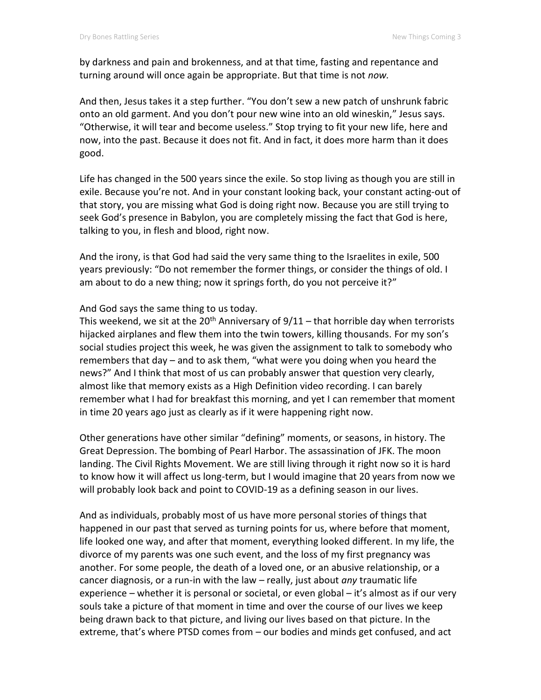by darkness and pain and brokenness, and at that time, fasting and repentance and turning around will once again be appropriate. But that time is not *now.*

And then, Jesus takes it a step further. "You don't sew a new patch of unshrunk fabric onto an old garment. And you don't pour new wine into an old wineskin," Jesus says. "Otherwise, it will tear and become useless." Stop trying to fit your new life, here and now, into the past. Because it does not fit. And in fact, it does more harm than it does good.

Life has changed in the 500 years since the exile. So stop living as though you are still in exile. Because you're not. And in your constant looking back, your constant acting-out of that story, you are missing what God is doing right now. Because you are still trying to seek God's presence in Babylon, you are completely missing the fact that God is here, talking to you, in flesh and blood, right now.

And the irony, is that God had said the very same thing to the Israelites in exile, 500 years previously: "Do not remember the former things, or consider the things of old. I am about to do a new thing; now it springs forth, do you not perceive it?"

And God says the same thing to us today.

This weekend, we sit at the 20<sup>th</sup> Anniversary of  $9/11$  – that horrible day when terrorists hijacked airplanes and flew them into the twin towers, killing thousands. For my son's social studies project this week, he was given the assignment to talk to somebody who remembers that day – and to ask them, "what were you doing when you heard the news?" And I think that most of us can probably answer that question very clearly, almost like that memory exists as a High Definition video recording. I can barely remember what I had for breakfast this morning, and yet I can remember that moment in time 20 years ago just as clearly as if it were happening right now.

Other generations have other similar "defining" moments, or seasons, in history. The Great Depression. The bombing of Pearl Harbor. The assassination of JFK. The moon landing. The Civil Rights Movement. We are still living through it right now so it is hard to know how it will affect us long-term, but I would imagine that 20 years from now we will probably look back and point to COVID-19 as a defining season in our lives.

And as individuals, probably most of us have more personal stories of things that happened in our past that served as turning points for us, where before that moment, life looked one way, and after that moment, everything looked different. In my life, the divorce of my parents was one such event, and the loss of my first pregnancy was another. For some people, the death of a loved one, or an abusive relationship, or a cancer diagnosis, or a run-in with the law – really, just about *any* traumatic life experience – whether it is personal or societal, or even global – it's almost as if our very souls take a picture of that moment in time and over the course of our lives we keep being drawn back to that picture, and living our lives based on that picture. In the extreme, that's where PTSD comes from – our bodies and minds get confused, and act